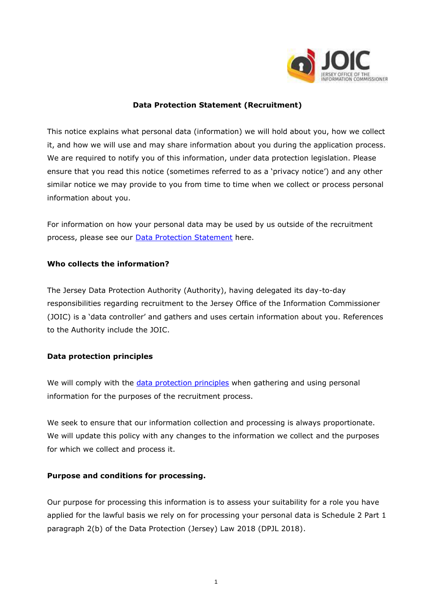

### **Data Protection Statement (Recruitment)**

This notice explains what personal data (information) we will hold about you, how we collect it, and how we will use and may share information about you during the application process. We are required to notify you of this information, under data protection legislation. Please ensure that you read this notice (sometimes referred to as a 'privacy notice') and any other similar notice we may provide to you from time to time when we collect or process personal information about you.

For information on how your personal data may be used by us outside of the recruitment process, please see our **Data Protection Statement** here.

#### **Who collects the information?**

The Jersey Data Protection Authority (Authority), having delegated its day-to-day responsibilities regarding recruitment to the Jersey Office of the Information Commissioner (JOIC) is a 'data controller' and gathers and uses certain information about you. References to the Authority include the JOIC.

## **Data protection principles**

We will comply with the [data protection principles](https://jerseyoic.org/media/iwcf3hr2/joic-09a-the-data-protection-principles_3.pdf) when gathering and using personal information for the purposes of the recruitment process.

We seek to ensure that our information collection and processing is always proportionate. We will update this policy with any changes to the information we collect and the purposes for which we collect and process it.

## **Purpose and conditions for processing.**

Our purpose for processing this information is to assess your suitability for a role you have applied for the lawful basis we rely on for processing your personal data is Schedule 2 Part 1 paragraph 2(b) of the Data Protection (Jersey) Law 2018 (DPJL 2018).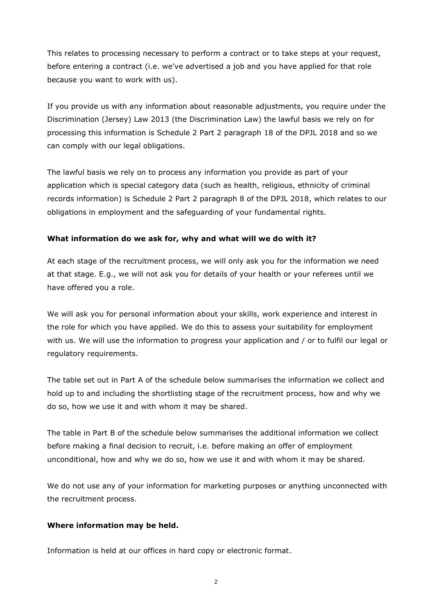This relates to processing necessary to perform a contract or to take steps at your request, before entering a contract (i.e. we've advertised a job and you have applied for that role because you want to work with us).

If you provide us with any information about reasonable adjustments, you require under the Discrimination (Jersey) Law 2013 (the Discrimination Law) the lawful basis we rely on for processing this information is Schedule 2 Part 2 paragraph 18 of the DPJL 2018 and so we can comply with our legal obligations.

The lawful basis we rely on to process any information you provide as part of your application which is special category data (such as health, religious, ethnicity of criminal records information) is Schedule 2 Part 2 paragraph 8 of the DPJL 2018, which relates to our obligations in employment and the safeguarding of your fundamental rights.

## **What information do we ask for, why and what will we do with it?**

At each stage of the recruitment process, we will only ask you for the information we need at that stage. E.g., we will not ask you for details of your health or your referees until we have offered you a role.

We will ask you for personal information about your skills, work experience and interest in the role for which you have applied. We do this to assess your suitability for employment with us. We will use the information to progress your application and / or to fulfil our legal or regulatory requirements.

The table set out in Part A of the schedule below summarises the information we collect and hold up to and including the shortlisting stage of the recruitment process, how and why we do so, how we use it and with whom it may be shared.

The table in Part B of the schedule below summarises the additional information we collect before making a final decision to recruit, i.e. before making an offer of employment unconditional, how and why we do so, how we use it and with whom it may be shared.

We do not use any of your information for marketing purposes or anything unconnected with the recruitment process.

## **Where information may be held.**

Information is held at our offices in hard copy or electronic format.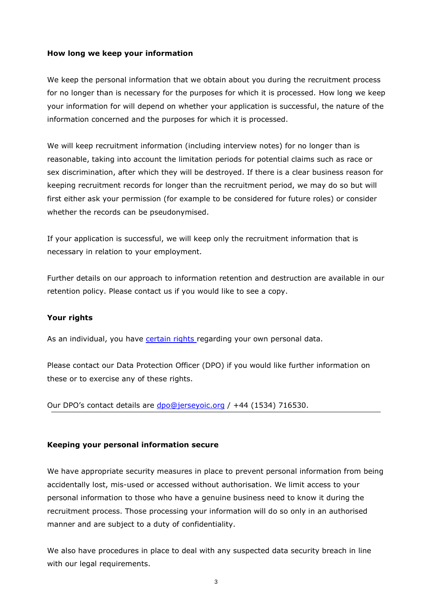## **How long we keep your information**

We keep the personal information that we obtain about you during the recruitment process for no longer than is necessary for the purposes for which it is processed. How long we keep your information for will depend on whether your application is successful, the nature of the information concerned and the purposes for which it is processed.

We will keep recruitment information (including interview notes) for no longer than is reasonable, taking into account the limitation periods for potential claims such as race or sex discrimination, after which they will be destroyed. If there is a clear business reason for keeping recruitment records for longer than the recruitment period, we may do so but will first either ask your permission (for example to be considered for future roles) or consider whether the records can be pseudonymised.

If your application is successful, we will keep only the recruitment information that is necessary in relation to your employment.

Further details on our approach to information retention and destruction are available in our retention policy. Please contact us if you would like to see a copy.

#### **Your rights**

As an individual, you have [certain rights r](https://jerseyoic.org/media/3q3nzvfn/joic-03a-rights-of-data-subjects_3.pdf)egarding your own personal data.

Please contact our Data Protection Officer (DPO) if you would like further information on these or to exercise any of these rights.

Our DPO's contact details are [dpo@jerseyoic.org](mailto:dpo@jerseyoic.org) / +44 (1534) 716530.

#### **Keeping your personal information secure**

We have appropriate security measures in place to prevent personal information from being accidentally lost, mis-used or accessed without authorisation. We limit access to your personal information to those who have a genuine business need to know it during the recruitment process. Those processing your information will do so only in an authorised manner and are subject to a duty of confidentiality.

We also have procedures in place to deal with any suspected data security breach in line with our legal requirements.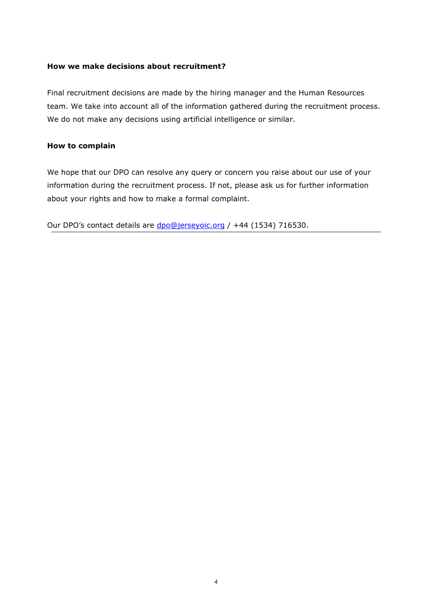#### **How we make decisions about recruitment?**

Final recruitment decisions are made by the hiring manager and the Human Resources team. We take into account all of the information gathered during the recruitment process. We do not make any decisions using artificial intelligence or similar.

#### **How to complain**

We hope that our DPO can resolve any query or concern you raise about our use of your information during the recruitment process. If not, please ask us for further information about your rights and how to make a formal complaint.

Our DPO's contact details are [dpo@jerseyoic.org](mailto:dpo@jerseyoic.org) / +44 (1534) 716530.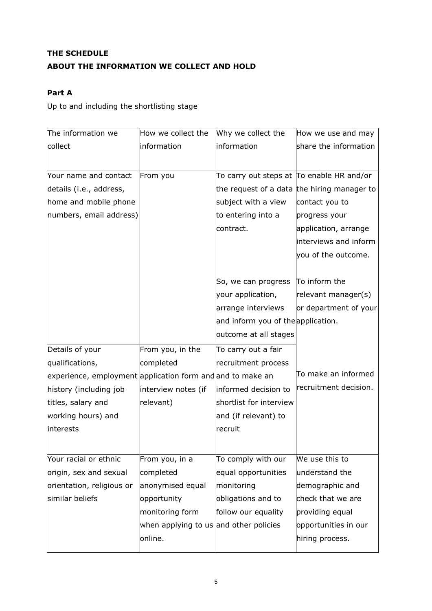# **THE SCHEDULE ABOUT THE INFORMATION WE COLLECT AND HOLD**

## **Part A**

Up to and including the shortlisting stage

| The information we                                         | How we collect the                     | Why we collect the                        | How we use and may                          |
|------------------------------------------------------------|----------------------------------------|-------------------------------------------|---------------------------------------------|
| collect                                                    | information                            | information                               | share the information                       |
|                                                            |                                        |                                           |                                             |
| Your name and contact                                      | From you                               | To carry out steps at To enable HR and/or |                                             |
| details (i.e., address,                                    |                                        |                                           | the request of a data the hiring manager to |
| home and mobile phone                                      |                                        | subject with a view                       | contact you to                              |
| numbers, email address)                                    |                                        | to entering into a                        | progress your                               |
|                                                            |                                        | contract.                                 | application, arrange                        |
|                                                            |                                        |                                           | interviews and inform                       |
|                                                            |                                        |                                           | you of the outcome.                         |
|                                                            |                                        |                                           |                                             |
|                                                            |                                        | So, we can progress                       | To inform the                               |
|                                                            |                                        | your application,                         | relevant manager(s)                         |
|                                                            |                                        | arrange interviews                        | or department of your                       |
|                                                            |                                        | and inform you of the application.        |                                             |
|                                                            |                                        | outcome at all stages                     |                                             |
| Details of your                                            | From you, in the                       | To carry out a fair                       |                                             |
| qualifications,                                            | completed                              | recruitment process                       |                                             |
| experience, employment application form and and to make an |                                        |                                           | To make an informed                         |
| history (including job                                     | interview notes (if                    | informed decision to                      | recruitment decision.                       |
| titles, salary and                                         | relevant)                              | shortlist for interview                   |                                             |
| working hours) and                                         |                                        | and (if relevant) to                      |                                             |
| interests                                                  |                                        | recruit                                   |                                             |
|                                                            |                                        |                                           |                                             |
| Your racial or ethnic                                      | From you, in a                         | To comply with our                        | We use this to                              |
| origin, sex and sexual                                     | completed                              | equal opportunities                       | understand the                              |
| orientation, religious or                                  | anonymised equal                       | monitoring                                | demographic and                             |
| similar beliefs                                            | opportunity                            | obligations and to                        | check that we are                           |
|                                                            | monitoring form                        | follow our equality                       | providing equal                             |
|                                                            | when applying to us and other policies |                                           | opportunities in our                        |
|                                                            | online.                                |                                           | hiring process.                             |
|                                                            |                                        |                                           |                                             |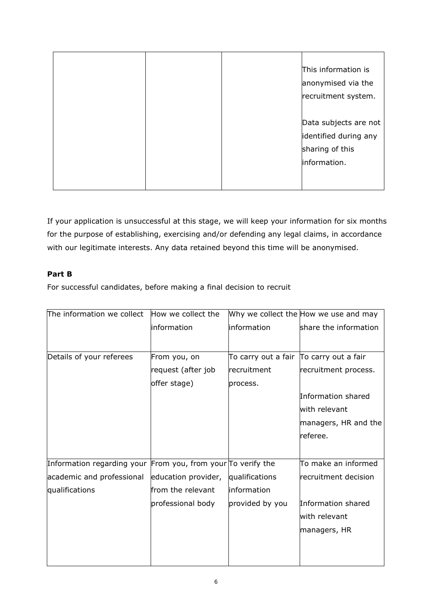|  | This information is   |
|--|-----------------------|
|  | anonymised via the    |
|  | recruitment system.   |
|  |                       |
|  | Data subjects are not |
|  | identified during any |
|  | sharing of this       |
|  | information.          |
|  |                       |
|  |                       |

If your application is unsuccessful at this stage, we will keep your information for six months for the purpose of establishing, exercising and/or defending any legal claims, in accordance with our legitimate interests. Any data retained beyond this time will be anonymised.

## **Part B**

For successful candidates, before making a final decision to recruit

| The information we collect                                         | How we collect the  |                                         | Why we collect the How we use and may |
|--------------------------------------------------------------------|---------------------|-----------------------------------------|---------------------------------------|
|                                                                    | information         | information                             | share the information                 |
|                                                                    |                     |                                         |                                       |
| Details of your referees                                           | From you, on        | To carry out a fair To carry out a fair |                                       |
|                                                                    | request (after job  | recruitment                             | recruitment process.                  |
|                                                                    | offer stage)        | process.                                |                                       |
|                                                                    |                     |                                         | Information shared                    |
|                                                                    |                     |                                         | with relevant                         |
|                                                                    |                     |                                         | managers, HR and the                  |
|                                                                    |                     |                                         | referee.                              |
|                                                                    |                     |                                         |                                       |
| Information regarding your From you, from your $\sigma$ verify the |                     |                                         | To make an informed                   |
| academic and professional                                          | education provider, | qualifications                          | recruitment decision                  |
| qualifications                                                     | from the relevant   | linformation                            |                                       |
|                                                                    | professional body   | provided by you                         | Information shared                    |
|                                                                    |                     |                                         | with relevant                         |
|                                                                    |                     |                                         | managers, HR                          |
|                                                                    |                     |                                         |                                       |
|                                                                    |                     |                                         |                                       |
|                                                                    |                     |                                         |                                       |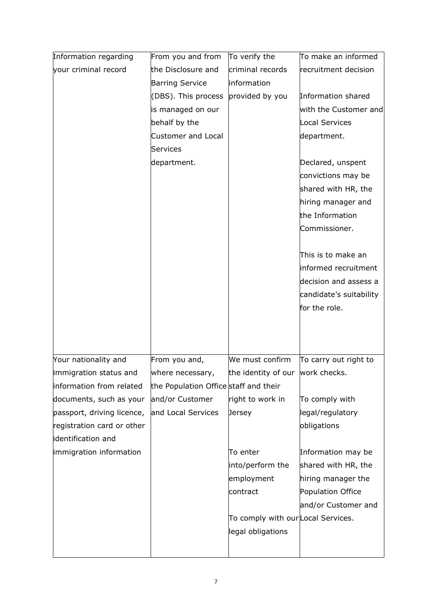| Information regarding      | From you and from                     | To verify the                     | To make an informed     |
|----------------------------|---------------------------------------|-----------------------------------|-------------------------|
| your criminal record       | the Disclosure and                    | criminal records                  | recruitment decision    |
|                            | <b>Barring Service</b>                | information                       |                         |
|                            | (DBS). This process                   | provided by you                   | Information shared      |
|                            | is managed on our                     |                                   | with the Customer and   |
|                            | behalf by the                         |                                   | Local Services          |
|                            | Customer and Local                    |                                   | department.             |
|                            | Services                              |                                   |                         |
|                            | department.                           |                                   | Declared, unspent       |
|                            |                                       |                                   | convictions may be      |
|                            |                                       |                                   | shared with HR, the     |
|                            |                                       |                                   | hiring manager and      |
|                            |                                       |                                   | the Information         |
|                            |                                       |                                   | Commissioner.           |
|                            |                                       |                                   |                         |
|                            |                                       |                                   | This is to make an      |
|                            |                                       |                                   | informed recruitment    |
|                            |                                       |                                   | decision and assess a   |
|                            |                                       |                                   | candidate's suitability |
|                            |                                       |                                   | for the role.           |
|                            |                                       |                                   |                         |
|                            |                                       |                                   |                         |
|                            |                                       |                                   |                         |
| Your nationality and       | From you and,                         | We must confirm                   | To carry out right to   |
| limmigration status and    | where necessary,                      | the identity of our work checks.  |                         |
| information from related   | the Population Office staff and their |                                   |                         |
| documents, such as your    | and/or Customer                       | right to work in                  | To comply with          |
| passport, driving licence, | and Local Services                    | Jersey                            | legal/regulatory        |
| registration card or other |                                       |                                   | obligations             |
| identification and         |                                       |                                   |                         |
| immigration information    |                                       | To enter                          | Information may be      |
|                            |                                       | into/perform the                  | shared with HR, the     |
|                            |                                       | employment                        | hiring manager the      |
|                            |                                       | contract                          | Population Office       |
|                            |                                       |                                   | and/or Customer and     |
|                            |                                       | To comply with ourLocal Services. |                         |
|                            |                                       | legal obligations                 |                         |
|                            |                                       |                                   |                         |
|                            |                                       |                                   |                         |